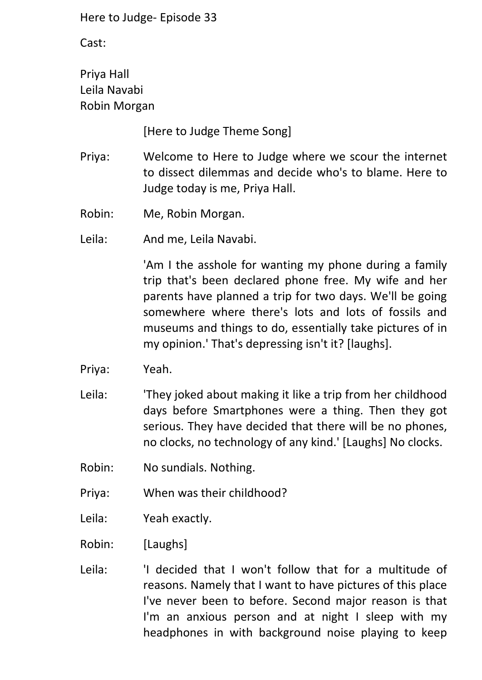Cast:

Priya Hall Leila Navabi Robin Morgan

[Here to Judge Theme Song]

- Priya: Welcome to Here to Judge where we scour the internet to dissect dilemmas and decide who's to blame. Here to Judge today is me, Priya Hall.
- Robin: Me, Robin Morgan.

Leila: And me, Leila Navabi.

'Am I the asshole for wanting my phone during a family trip that's been declared phone free. My wife and her parents have planned a trip for two days. We'll be going somewhere where there's lots and lots of fossils and museums and things to do, essentially take pictures of in my opinion.' That's depressing isn't it? [laughs].

- Priya: Yeah.
- Leila: 'They joked about making it like a trip from her childhood days before Smartphones were a thing. Then they got serious. They have decided that there will be no phones, no clocks, no technology of any kind.' [Laughs] No clocks.
- Robin: No sundials. Nothing.
- Priya: When was their childhood?
- Leila: Yeah exactly.

Robin: [Laughs]

Leila: 'I decided that I won't follow that for a multitude of reasons. Namely that I want to have pictures of this place I've never been to before. Second major reason is that I'm an anxious person and at night I sleep with my headphones in with background noise playing to keep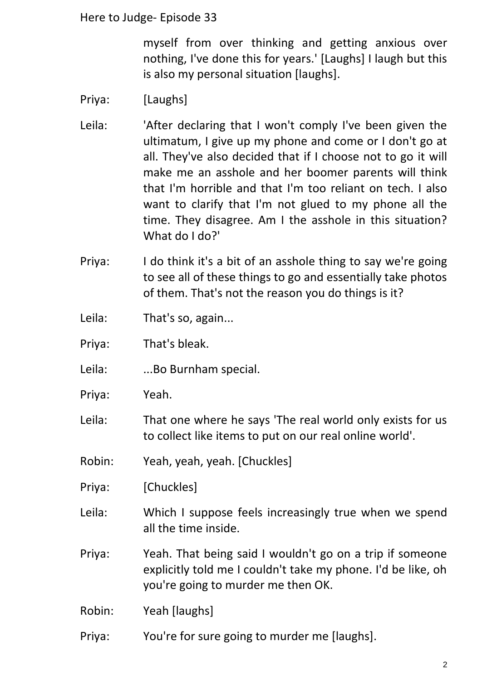myself from over thinking and getting anxious over nothing, I've done this for years.' [Laughs] I laugh but this is also my personal situation [laughs].

- Priya: [Laughs]
- Leila: 'After declaring that I won't comply I've been given the ultimatum, I give up my phone and come or I don't go at all. They've also decided that if I choose not to go it will make me an asshole and her boomer parents will think that I'm horrible and that I'm too reliant on tech. I also want to clarify that I'm not glued to my phone all the time. They disagree. Am I the asshole in this situation? What do I do?'
- Priya: I do think it's a bit of an asshole thing to say we're going to see all of these things to go and essentially take photos of them. That's not the reason you do things is it?
- Leila: That's so, again...
- Priya: That's bleak.
- Leila: ...Bo Burnham special.
- Priya: Yeah.
- Leila: That one where he says 'The real world only exists for us to collect like items to put on our real online world'.
- Robin: Yeah, yeah, yeah. [Chuckles]
- Priya: [Chuckles]
- Leila: Which I suppose feels increasingly true when we spend all the time inside.
- Priya: Yeah. That being said I wouldn't go on a trip if someone explicitly told me I couldn't take my phone. I'd be like, oh you're going to murder me then OK.
- Robin: Yeah [laughs]
- Priya: You're for sure going to murder me [laughs].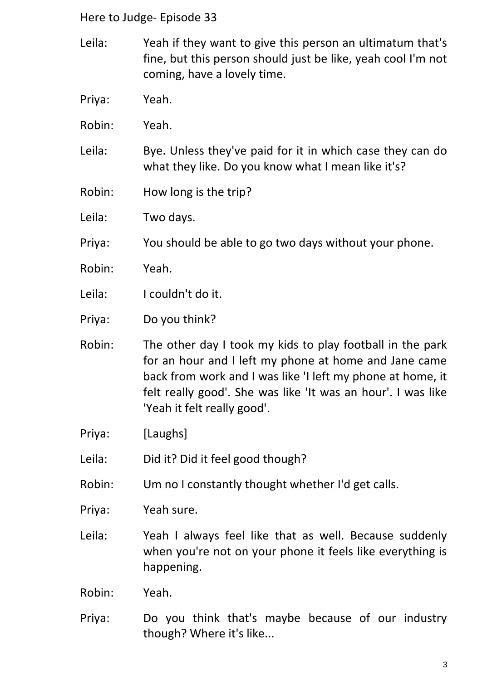- Leila: Yeah if they want to give this person an ultimatum that's fine, but this person should just be like, yeah cool I'm not coming, have a lovely time.
- Priya: Yeah.
- Robin: Yeah.
- Leila: Bye. Unless they've paid for it in which case they can do what they like. Do you know what I mean like it's?
- Robin: How long is the trip?
- Leila: Two days.
- Priya: You should be able to go two days without your phone.
- Robin: Yeah.
- Leila: I couldn't do it.
- Priya: Do you think?
- Robin: The other day I took my kids to play football in the park for an hour and I left my phone at home and Jane came back from work and I was like 'I left my phone at home, it felt really good'. She was like 'It was an hour'. I was like 'Yeah it felt really good'.
- Priya: [Laughs]
- Leila: Did it? Did it feel good though?
- Robin: Um no I constantly thought whether I'd get calls.
- Priya: Yeah sure.
- Leila: Yeah I always feel like that as well. Because suddenly when you're not on your phone it feels like everything is happening.
- Robin: Yeah.
- Priya: Do you think that's maybe because of our industry though? Where it's like...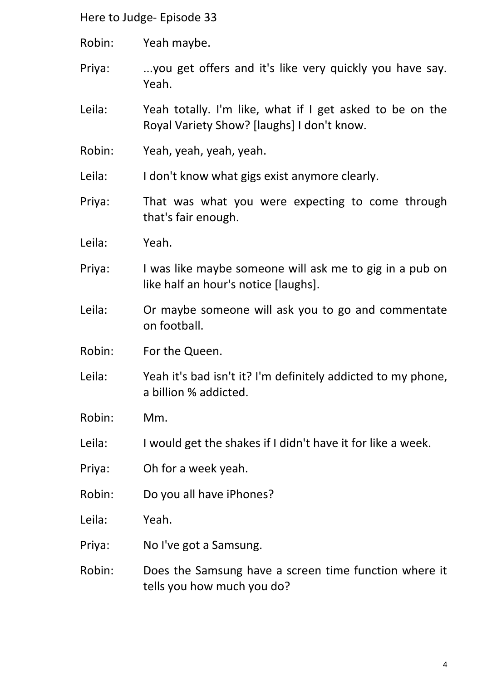- Robin: Yeah maybe.
- Priya: ...you get offers and it's like very quickly you have say. Yeah.
- Leila: Yeah totally. I'm like, what if I get asked to be on the Royal Variety Show? [laughs] I don't know.
- Robin: Yeah, yeah, yeah, yeah.
- Leila: I don't know what gigs exist anymore clearly.
- Priya: That was what you were expecting to come through that's fair enough.
- Leila: Yeah.
- Priya: I was like maybe someone will ask me to gig in a pub on like half an hour's notice [laughs].
- Leila: Or maybe someone will ask you to go and commentate on football.
- Robin: For the Queen.
- Leila: Yeah it's bad isn't it? I'm definitely addicted to my phone, a billion % addicted.
- Robin: Mm.
- Leila: I would get the shakes if I didn't have it for like a week.
- Priya: Oh for a week yeah.
- Robin: Do you all have iPhones?
- Leila: Yeah.
- Priya: No I've got a Samsung.
- Robin: Does the Samsung have a screen time function where it tells you how much you do?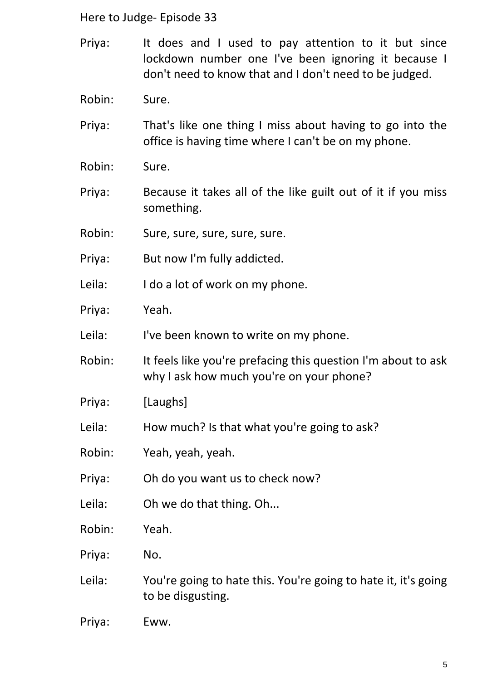- Priya: It does and I used to pay attention to it but since lockdown number one I've been ignoring it because I don't need to know that and I don't need to be judged.
- Robin: Sure.
- Priya: That's like one thing I miss about having to go into the office is having time where I can't be on my phone.
- Robin: Sure.
- Priya: Because it takes all of the like guilt out of it if you miss something.
- Robin: Sure, sure, sure, sure, sure.
- Priya: But now I'm fully addicted.
- Leila: I do a lot of work on my phone.
- Priya: Yeah.
- Leila: I've been known to write on my phone.
- Robin: It feels like you're prefacing this question I'm about to ask why I ask how much you're on your phone?
- Priya: [Laughs]
- Leila: How much? Is that what you're going to ask?
- Robin: Yeah, yeah, yeah.
- Priya: Oh do you want us to check now?
- Leila: Oh we do that thing. Oh...
- Robin: Yeah.
- Priya: No.
- Leila: You're going to hate this. You're going to hate it, it's going to be disgusting.
- Priya: Eww.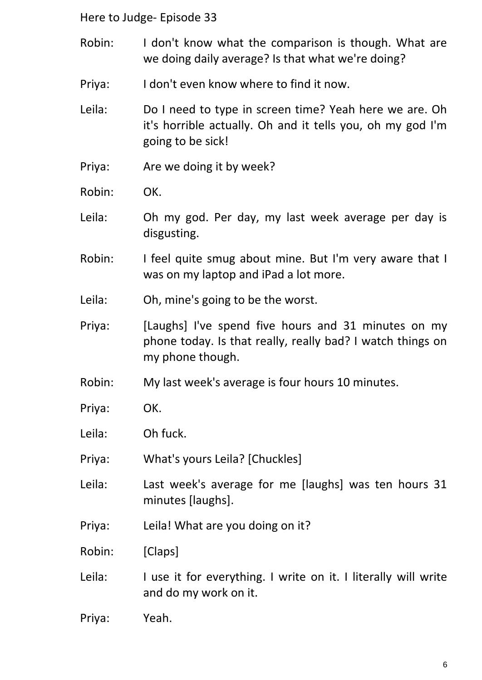- Robin: I don't know what the comparison is though. What are we doing daily average? Is that what we're doing?
- Priya: I don't even know where to find it now.
- Leila: Do I need to type in screen time? Yeah here we are. Oh it's horrible actually. Oh and it tells you, oh my god I'm going to be sick!
- Priya: Are we doing it by week?
- Robin: OK.
- Leila: Oh my god. Per day, my last week average per day is disgusting.
- Robin: I feel quite smug about mine. But I'm very aware that I was on my laptop and iPad a lot more.
- Leila: Oh, mine's going to be the worst.
- Priya: [Laughs] I've spend five hours and 31 minutes on my phone today. Is that really, really bad? I watch things on my phone though.
- Robin: My last week's average is four hours 10 minutes.
- Priya: OK.
- Leila: Oh fuck.
- Priya: What's yours Leila? [Chuckles]
- Leila: Last week's average for me [laughs] was ten hours 31 minutes [laughs].
- Priya: Leila! What are you doing on it?
- Robin: [Claps]
- Leila: I use it for everything. I write on it. I literally will write and do my work on it.
- Priya: Yeah.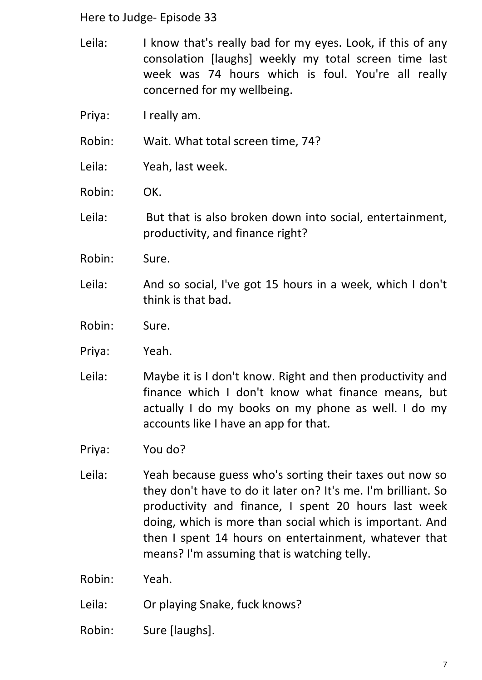- Leila: I know that's really bad for my eyes. Look, if this of any consolation [laughs] weekly my total screen time last week was 74 hours which is foul. You're all really concerned for my wellbeing.
- Priya: I really am.

Robin: Wait. What total screen time, 74?

- Leila: Yeah, last week.
- Robin: OK.

Leila: But that is also broken down into social, entertainment, productivity, and finance right?

- Robin: Sure.
- Leila: And so social, I've got 15 hours in a week, which I don't think is that bad.
- Robin: Sure.
- Priya: Yeah.
- Leila: Maybe it is I don't know. Right and then productivity and finance which I don't know what finance means, but actually I do my books on my phone as well. I do my accounts like I have an app for that.
- Priya: You do?
- Leila: Yeah because guess who's sorting their taxes out now so they don't have to do it later on? It's me. I'm brilliant. So productivity and finance, I spent 20 hours last week doing, which is more than social which is important. And then I spent 14 hours on entertainment, whatever that means? I'm assuming that is watching telly.
- Robin: Yeah.
- Leila: Or playing Snake, fuck knows?
- Robin: Sure [laughs].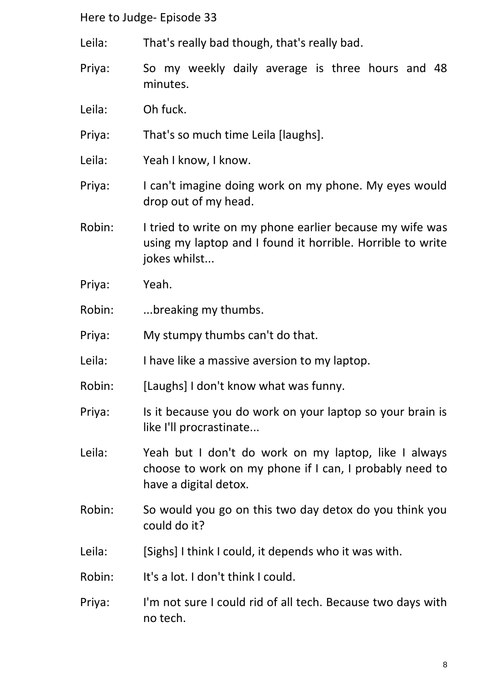- Leila: That's really bad though, that's really bad.
- Priya: So my weekly daily average is three hours and 48 minutes.
- Leila: Oh fuck.
- Priya: That's so much time Leila [laughs].
- Leila: Yeah I know, I know.
- Priya: I can't imagine doing work on my phone. My eyes would drop out of my head.
- Robin: I tried to write on my phone earlier because my wife was using my laptop and I found it horrible. Horrible to write jokes whilst...
- Priya: Yeah.
- Robin: ...breaking my thumbs.
- Priya: My stumpy thumbs can't do that.
- Leila: I have like a massive aversion to my laptop.
- Robin: [Laughs] I don't know what was funny.
- Priya: Is it because you do work on your laptop so your brain is like I'll procrastinate...
- Leila: Yeah but I don't do work on my laptop, like I always choose to work on my phone if I can, I probably need to have a digital detox.
- Robin: So would you go on this two day detox do you think you could do it?
- Leila: [Sighs] I think I could, it depends who it was with.
- Robin: It's a lot. I don't think I could.
- Priya: I'm not sure I could rid of all tech. Because two days with no tech.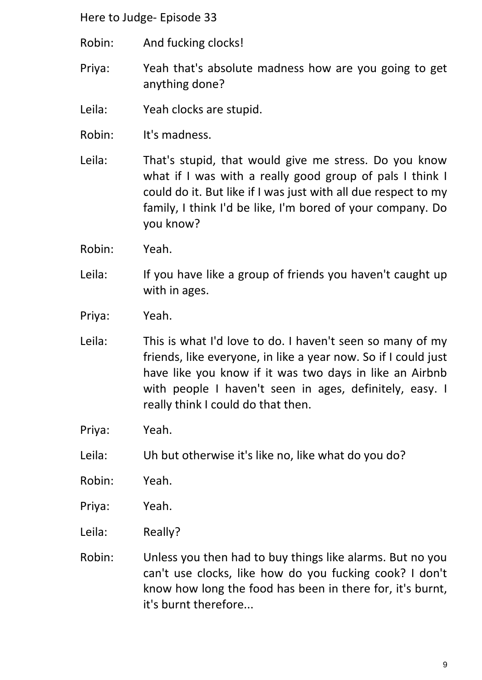- Robin: And fucking clocks!
- Priya: Yeah that's absolute madness how are you going to get anything done?
- Leila: Yeah clocks are stupid.
- Robin: It's madness.
- Leila: That's stupid, that would give me stress. Do you know what if I was with a really good group of pals I think I could do it. But like if I was just with all due respect to my family, I think I'd be like, I'm bored of your company. Do you know?
- Robin: Yeah.
- Leila: If you have like a group of friends you haven't caught up with in ages.
- Priya: Yeah.
- Leila: This is what I'd love to do. I haven't seen so many of my friends, like everyone, in like a year now. So if I could just have like you know if it was two days in like an Airbnb with people I haven't seen in ages, definitely, easy. I really think I could do that then.
- Priya: Yeah.
- Leila: Uh but otherwise it's like no, like what do you do?
- Robin: Yeah.
- Priya: Yeah.
- Leila: Really?
- Robin: Unless you then had to buy things like alarms. But no you can't use clocks, like how do you fucking cook? I don't know how long the food has been in there for, it's burnt, it's burnt therefore...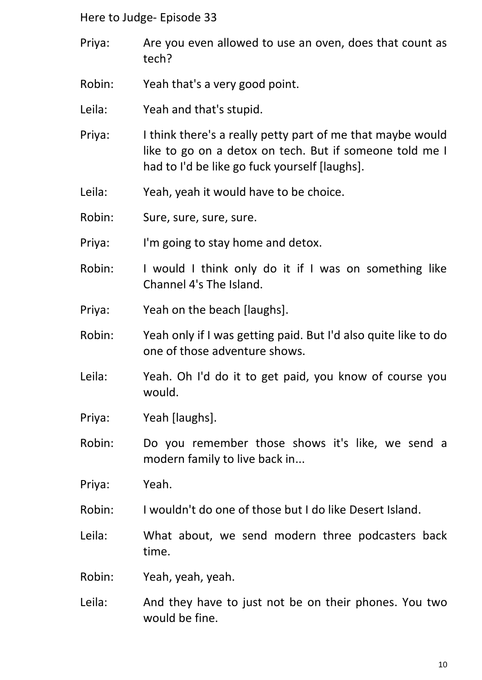- Priya: Are you even allowed to use an oven, does that count as tech?
- Robin: Yeah that's a very good point.
- Leila: Yeah and that's stupid.
- Priya: I think there's a really petty part of me that maybe would like to go on a detox on tech. But if someone told me I had to I'd be like go fuck yourself [laughs].
- Leila: Yeah, yeah it would have to be choice.
- Robin: Sure, sure, sure, sure.
- Priya: I'm going to stay home and detox.
- Robin: I would I think only do it if I was on something like Channel 4's The Island.
- Priya: Yeah on the beach [laughs].
- Robin: Yeah only if I was getting paid. But I'd also quite like to do one of those adventure shows.
- Leila: Yeah. Oh I'd do it to get paid, you know of course you would.
- Priya: Yeah [laughs].
- Robin: Do you remember those shows it's like, we send a modern family to live back in...
- Priya: Yeah.
- Robin: I wouldn't do one of those but I do like Desert Island.
- Leila: What about, we send modern three podcasters back time.
- Robin: Yeah, yeah, yeah.
- Leila: And they have to just not be on their phones. You two would be fine.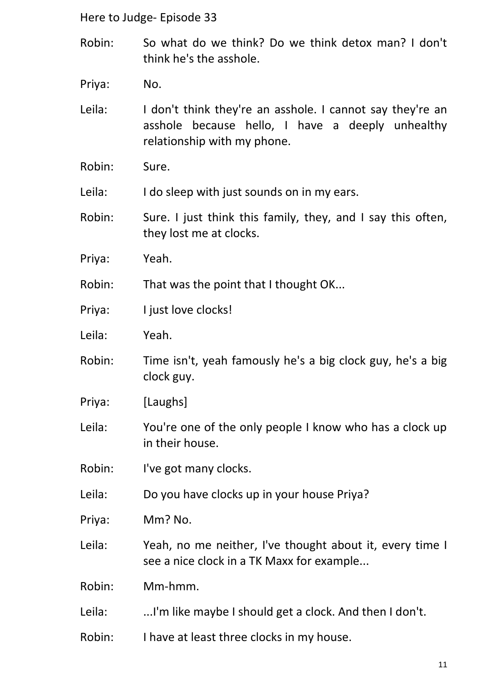- Robin: So what do we think? Do we think detox man? I don't think he's the asshole.
- Priya: No.
- Leila: I don't think they're an asshole. I cannot say they're an asshole because hello, I have a deeply unhealthy relationship with my phone.
- Robin: Sure.
- Leila: I do sleep with just sounds on in my ears.
- Robin: Sure. I just think this family, they, and I say this often, they lost me at clocks.
- Priya: Yeah.
- Robin: That was the point that I thought OK...
- Priya: I just love clocks!
- Leila: Yeah.
- Robin: Time isn't, yeah famously he's a big clock guy, he's a big clock guy.
- Priya: [Laughs]
- Leila: You're one of the only people I know who has a clock up in their house.
- Robin: I've got many clocks.
- Leila: Do you have clocks up in your house Priya?
- Priya: Mm? No.
- Leila: Yeah, no me neither, I've thought about it, every time I see a nice clock in a TK Maxx for example...
- Robin: Mm-hmm.
- Leila: ...I'm like maybe I should get a clock. And then I don't.
- Robin: I have at least three clocks in my house.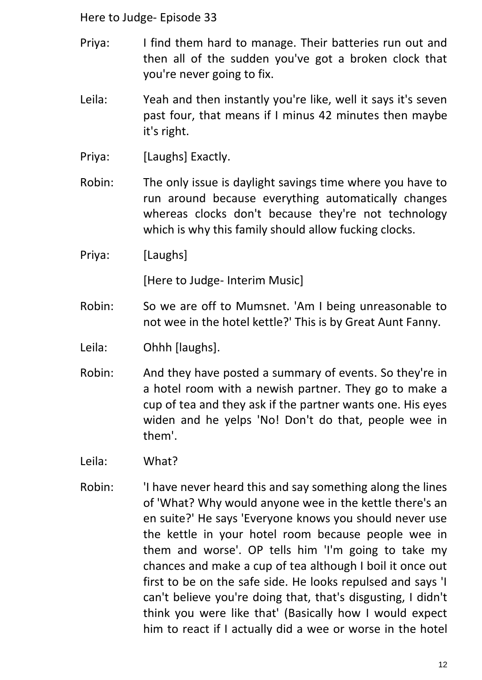- Priya: I find them hard to manage. Their batteries run out and then all of the sudden you've got a broken clock that you're never going to fix.
- Leila: Yeah and then instantly you're like, well it says it's seven past four, that means if I minus 42 minutes then maybe it's right.
- Priya: [Laughs] Exactly.
- Robin: The only issue is daylight savings time where you have to run around because everything automatically changes whereas clocks don't because they're not technology which is why this family should allow fucking clocks.
- Priya: [Laughs]

[Here to Judge- Interim Music]

- Robin: So we are off to Mumsnet. 'Am I being unreasonable to not wee in the hotel kettle?' This is by Great Aunt Fanny.
- Leila: Ohhh [laughs].
- Robin: And they have posted a summary of events. So they're in a hotel room with a newish partner. They go to make a cup of tea and they ask if the partner wants one. His eyes widen and he yelps 'No! Don't do that, people wee in them'.
- Leila: What?
- Robin: 'I have never heard this and say something along the lines of 'What? Why would anyone wee in the kettle there's an en suite?' He says 'Everyone knows you should never use the kettle in your hotel room because people wee in them and worse'. OP tells him 'I'm going to take my chances and make a cup of tea although I boil it once out first to be on the safe side. He looks repulsed and says 'I can't believe you're doing that, that's disgusting, I didn't think you were like that' (Basically how I would expect him to react if I actually did a wee or worse in the hotel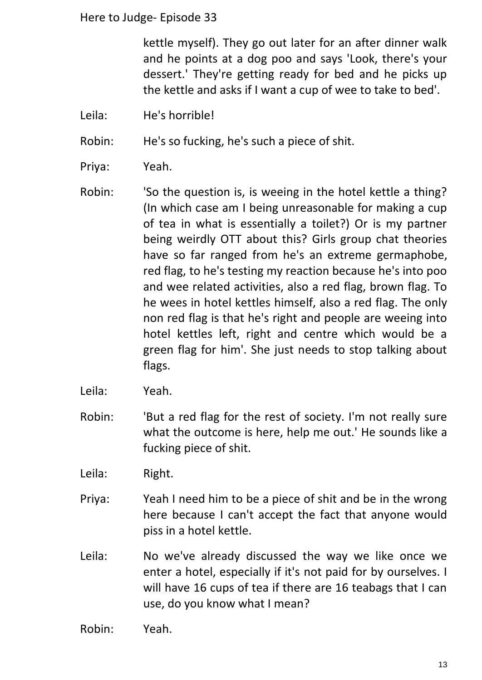kettle myself). They go out later for an after dinner walk and he points at a dog poo and says 'Look, there's your dessert.' They're getting ready for bed and he picks up the kettle and asks if I want a cup of wee to take to bed'.

Leila: He's horrible!

Robin: He's so fucking, he's such a piece of shit.

- Priya: Yeah.
- Robin: 'So the question is, is weeing in the hotel kettle a thing? (In which case am I being unreasonable for making a cup of tea in what is essentially a toilet?) Or is my partner being weirdly OTT about this? Girls group chat theories have so far ranged from he's an extreme germaphobe, red flag, to he's testing my reaction because he's into poo and wee related activities, also a red flag, brown flag. To he wees in hotel kettles himself, also a red flag. The only non red flag is that he's right and people are weeing into hotel kettles left, right and centre which would be a green flag for him'. She just needs to stop talking about flags.
- Leila: Yeah.
- Robin: 'But a red flag for the rest of society. I'm not really sure what the outcome is here, help me out.' He sounds like a fucking piece of shit.
- Leila: Right.
- Priya: Yeah I need him to be a piece of shit and be in the wrong here because I can't accept the fact that anyone would piss in a hotel kettle.
- Leila: No we've already discussed the way we like once we enter a hotel, especially if it's not paid for by ourselves. I will have 16 cups of tea if there are 16 teabags that I can use, do you know what I mean?
- Robin: Yeah.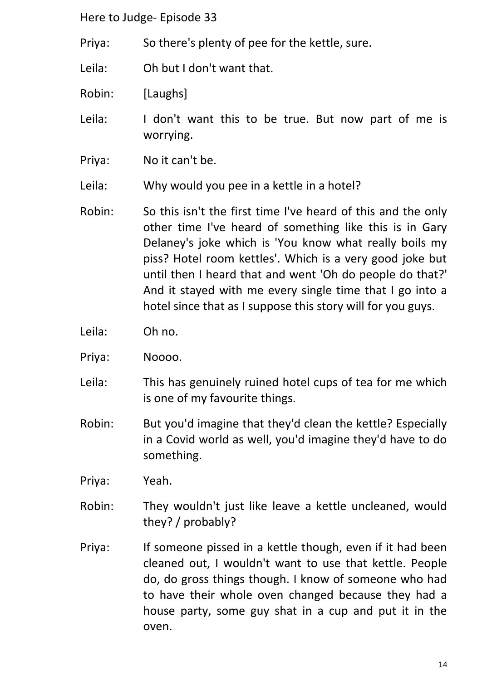- Priya: So there's plenty of pee for the kettle, sure.
- Leila: Oh but I don't want that.
- Robin: [Laughs]
- Leila: I don't want this to be true. But now part of me is worrying.
- Priya: No it can't be.
- Leila: Why would you pee in a kettle in a hotel?
- Robin: So this isn't the first time I've heard of this and the only other time I've heard of something like this is in Gary Delaney's joke which is 'You know what really boils my piss? Hotel room kettles'. Which is a very good joke but until then I heard that and went 'Oh do people do that?' And it stayed with me every single time that I go into a hotel since that as I suppose this story will for you guys.
- Leila: Oh no.
- Priya: Noooo.
- Leila: This has genuinely ruined hotel cups of tea for me which is one of my favourite things.
- Robin: But you'd imagine that they'd clean the kettle? Especially in a Covid world as well, you'd imagine they'd have to do something.
- Priya: Yeah.
- Robin: They wouldn't just like leave a kettle uncleaned, would they? / probably?
- Priya: If someone pissed in a kettle though, even if it had been cleaned out, I wouldn't want to use that kettle. People do, do gross things though. I know of someone who had to have their whole oven changed because they had a house party, some guy shat in a cup and put it in the oven.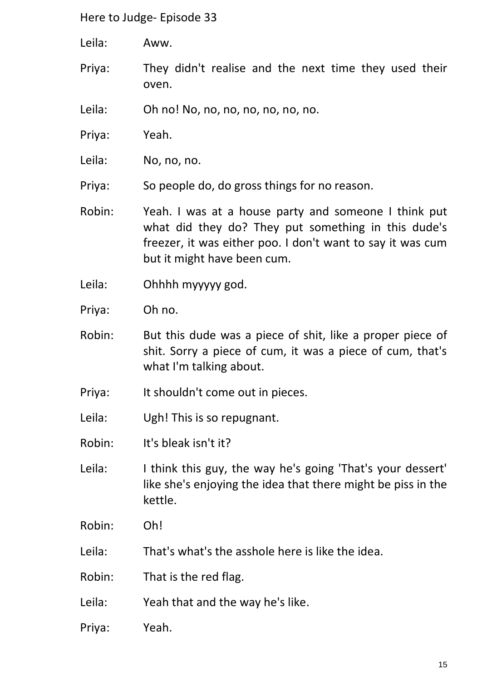Leila: Aww.

- Priya: They didn't realise and the next time they used their oven.
- Leila: Oh no! No, no, no, no, no, no, no.
- Priya: Yeah.
- Leila: No, no, no.
- Priya: So people do, do gross things for no reason.
- Robin: Yeah. I was at a house party and someone I think put what did they do? They put something in this dude's freezer, it was either poo. I don't want to say it was cum but it might have been cum.
- Leila: Ohhhh myyyyy god.
- Priya: Oh no.
- Robin: But this dude was a piece of shit, like a proper piece of shit. Sorry a piece of cum, it was a piece of cum, that's what I'm talking about.
- Priya: It shouldn't come out in pieces.
- Leila: Ugh! This is so repugnant.
- Robin: It's bleak isn't it?
- Leila: I think this guy, the way he's going 'That's your dessert' like she's enjoying the idea that there might be piss in the kettle.
- Robin: Oh!
- Leila: That's what's the asshole here is like the idea.
- Robin: That is the red flag.
- Leila: Yeah that and the way he's like.
- Priya: Yeah.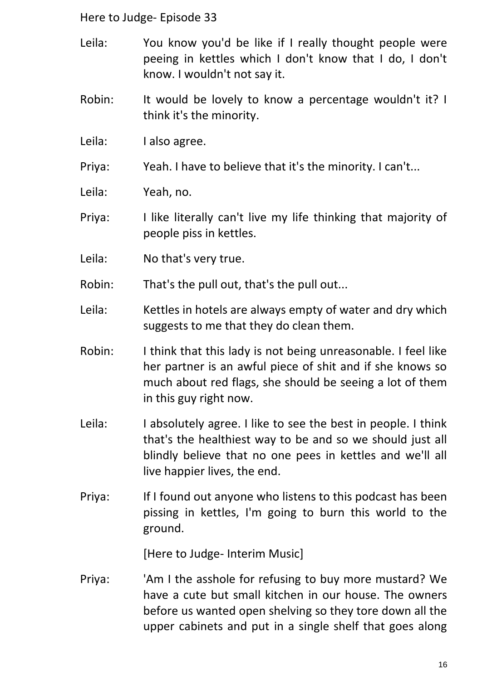- Leila: You know you'd be like if I really thought people were peeing in kettles which I don't know that I do, I don't know. I wouldn't not say it.
- Robin: It would be lovely to know a percentage wouldn't it? I think it's the minority.
- Leila: I also agree.
- Priya: Yeah. I have to believe that it's the minority. I can't...
- Leila: Yeah, no.
- Priya: I like literally can't live my life thinking that majority of people piss in kettles.
- Leila: No that's very true.
- Robin: That's the pull out, that's the pull out...
- Leila: Kettles in hotels are always empty of water and dry which suggests to me that they do clean them.
- Robin: I think that this lady is not being unreasonable. I feel like her partner is an awful piece of shit and if she knows so much about red flags, she should be seeing a lot of them in this guy right now.
- Leila: I absolutely agree. I like to see the best in people. I think that's the healthiest way to be and so we should just all blindly believe that no one pees in kettles and we'll all live happier lives, the end.
- Priya: If I found out anyone who listens to this podcast has been pissing in kettles, I'm going to burn this world to the ground.

[Here to Judge- Interim Music]

Priya: 'Am I the asshole for refusing to buy more mustard? We have a cute but small kitchen in our house. The owners before us wanted open shelving so they tore down all the upper cabinets and put in a single shelf that goes along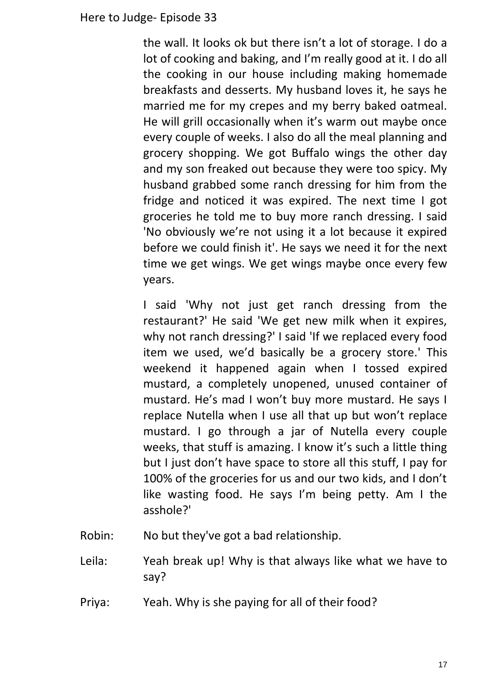the wall. It looks ok but there isn't a lot of storage. I do a lot of cooking and baking, and I'm really good at it. I do all the cooking in our house including making homemade breakfasts and desserts. My husband loves it, he says he married me for my crepes and my berry baked oatmeal. He will grill occasionally when it's warm out maybe once every couple of weeks. I also do all the meal planning and grocery shopping. We got Buffalo wings the other day and my son freaked out because they were too spicy. My husband grabbed some ranch dressing for him from the fridge and noticed it was expired. The next time I got groceries he told me to buy more ranch dressing. I said 'No obviously we're not using it a lot because it expired before we could finish it'. He says we need it for the next time we get wings. We get wings maybe once every few years.

I said 'Why not just get ranch dressing from the restaurant?' He said 'We get new milk when it expires, why not ranch dressing?' I said 'If we replaced every food item we used, we'd basically be a grocery store.' This weekend it happened again when I tossed expired mustard, a completely unopened, unused container of mustard. He's mad I won't buy more mustard. He says I replace Nutella when I use all that up but won't replace mustard. I go through a jar of Nutella every couple weeks, that stuff is amazing. I know it's such a little thing but I just don't have space to store all this stuff, I pay for 100% of the groceries for us and our two kids, and I don't like wasting food. He says I'm being petty. Am I the asshole?'

- Robin: No but they've got a bad relationship.
- Leila: Yeah break up! Why is that always like what we have to say?
- Priya: Yeah. Why is she paying for all of their food?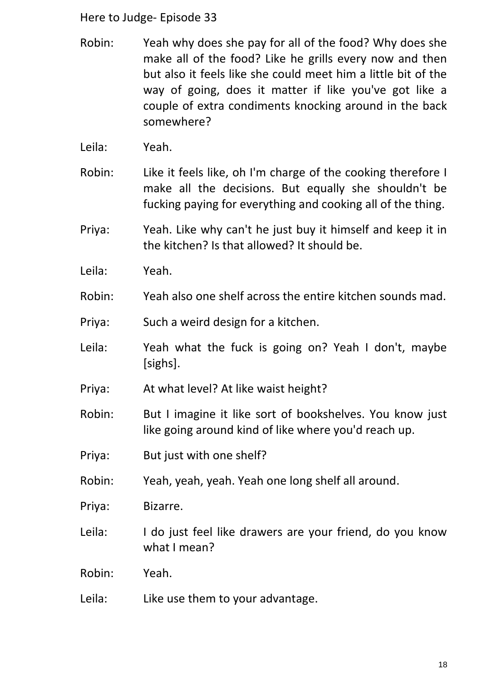- Robin: Yeah why does she pay for all of the food? Why does she make all of the food? Like he grills every now and then but also it feels like she could meet him a little bit of the way of going, does it matter if like you've got like a couple of extra condiments knocking around in the back somewhere?
- Leila: Yeah.
- Robin: Like it feels like, oh I'm charge of the cooking therefore I make all the decisions. But equally she shouldn't be fucking paying for everything and cooking all of the thing.
- Priya: Yeah. Like why can't he just buy it himself and keep it in the kitchen? Is that allowed? It should be.
- Leila: Yeah.
- Robin: Yeah also one shelf across the entire kitchen sounds mad.
- Priya: Such a weird design for a kitchen.
- Leila: Yeah what the fuck is going on? Yeah I don't, maybe [sighs].
- Priya: At what level? At like waist height?
- Robin: But I imagine it like sort of bookshelves. You know just like going around kind of like where you'd reach up.
- Priya: But just with one shelf?
- Robin: Yeah, yeah, yeah. Yeah one long shelf all around.
- Priya: Bizarre.
- Leila: I do just feel like drawers are your friend, do you know what I mean?
- Robin: Yeah.
- Leila: Like use them to your advantage.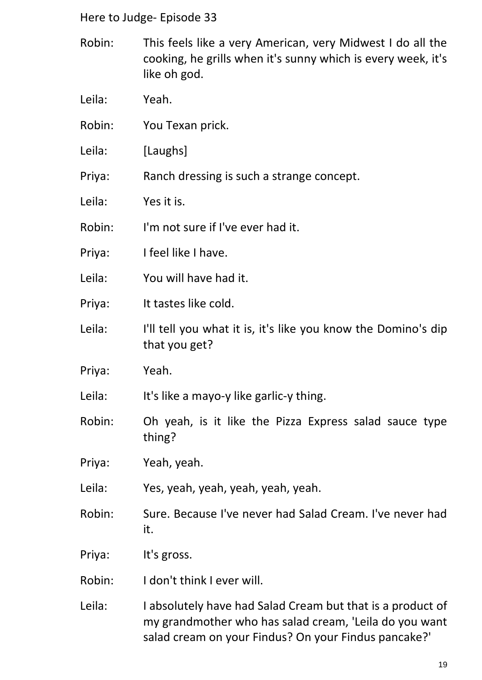- Robin: This feels like a very American, very Midwest I do all the cooking, he grills when it's sunny which is every week, it's like oh god.
- Leila: Yeah.
- Robin: You Texan prick.
- Leila: [Laughs]
- Priya: Ranch dressing is such a strange concept.
- Leila: Yes it is.
- Robin: I'm not sure if I've ever had it.
- Priya: I feel like I have.
- Leila: You will have had it.
- Priya: It tastes like cold.
- Leila: I'll tell you what it is, it's like you know the Domino's dip that you get?
- Priya: Yeah.
- Leila: It's like a mayo-y like garlic-y thing.
- Robin: Oh yeah, is it like the Pizza Express salad sauce type thing?
- Priya: Yeah, yeah.
- Leila: Yes, yeah, yeah, yeah, yeah, yeah.
- Robin: Sure. Because I've never had Salad Cream. I've never had it.
- Priya: It's gross.
- Robin: I don't think I ever will.
- Leila: I absolutely have had Salad Cream but that is a product of my grandmother who has salad cream, 'Leila do you want salad cream on your Findus? On your Findus pancake?'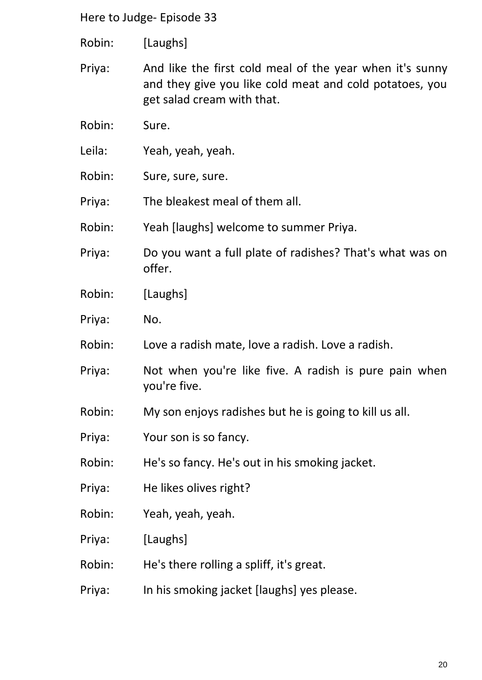- Robin: [Laughs]
- Priya: And like the first cold meal of the year when it's sunny and they give you like cold meat and cold potatoes, you get salad cream with that.
- Robin: Sure.
- Leila: Yeah, yeah, yeah.
- Robin: Sure, sure, sure.
- Priya: The bleakest meal of them all.
- Robin: Yeah [laughs] welcome to summer Priya.
- Priya: Do you want a full plate of radishes? That's what was on offer.
- Robin: [Laughs]
- Priya: No.
- Robin: Love a radish mate, love a radish. Love a radish.
- Priya: Not when you're like five. A radish is pure pain when you're five.
- Robin: My son enjoys radishes but he is going to kill us all.
- Priya: Your son is so fancy.
- Robin: He's so fancy. He's out in his smoking jacket.
- Priya: He likes olives right?
- Robin: Yeah, yeah, yeah.
- Priya: [Laughs]
- Robin: He's there rolling a spliff, it's great.
- Priya: In his smoking jacket [laughs] yes please.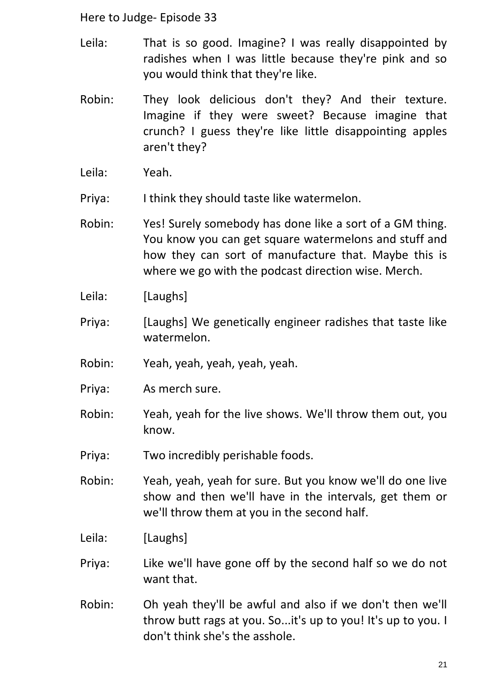- Leila: That is so good. Imagine? I was really disappointed by radishes when I was little because they're pink and so you would think that they're like.
- Robin: They look delicious don't they? And their texture. Imagine if they were sweet? Because imagine that crunch? I guess they're like little disappointing apples aren't they?
- Leila: Yeah.
- Priya: I think they should taste like watermelon.
- Robin: Yes! Surely somebody has done like a sort of a GM thing. You know you can get square watermelons and stuff and how they can sort of manufacture that. Maybe this is where we go with the podcast direction wise. Merch.
- Leila: [Laughs]
- Priya: [Laughs] We genetically engineer radishes that taste like watermelon.
- Robin: Yeah, yeah, yeah, yeah, yeah.
- Priya: As merch sure.
- Robin: Yeah, yeah for the live shows. We'll throw them out, you know.
- Priya: Two incredibly perishable foods.
- Robin: Yeah, yeah, yeah for sure. But you know we'll do one live show and then we'll have in the intervals, get them or we'll throw them at you in the second half.
- Leila: [Laughs]
- Priya: Like we'll have gone off by the second half so we do not want that.
- Robin: Oh yeah they'll be awful and also if we don't then we'll throw butt rags at you. So...it's up to you! It's up to you. I don't think she's the asshole.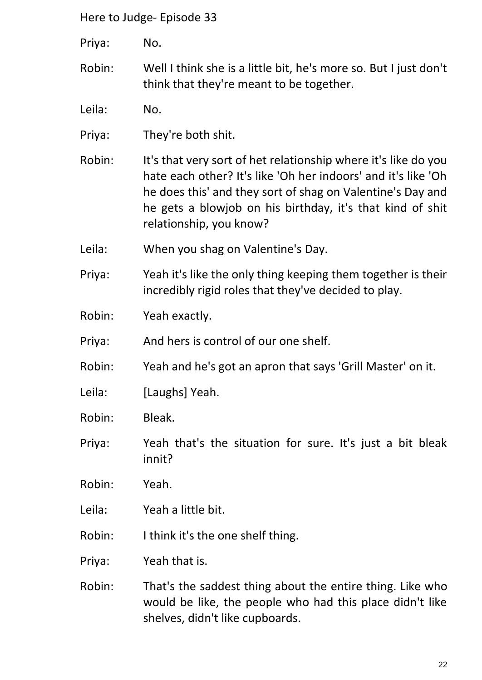Priya: No.

- Robin: Well I think she is a little bit, he's more so. But I just don't think that they're meant to be together.
- Leila: No.
- Priya: They're both shit.
- Robin: It's that very sort of het relationship where it's like do you hate each other? It's like 'Oh her indoors' and it's like 'Oh he does this' and they sort of shag on Valentine's Day and he gets a blowjob on his birthday, it's that kind of shit relationship, you know?
- Leila: When you shag on Valentine's Day.
- Priya: Yeah it's like the only thing keeping them together is their incredibly rigid roles that they've decided to play.
- Robin: Yeah exactly.
- Priya: And hers is control of our one shelf.
- Robin: Yeah and he's got an apron that says 'Grill Master' on it.
- Leila: [Laughs] Yeah.
- Robin: Bleak.
- Priya: Yeah that's the situation for sure. It's just a bit bleak innit?
- Robin: Yeah.
- Leila: Yeah a little bit.
- Robin: I think it's the one shelf thing.

Priya: Yeah that is.

Robin: That's the saddest thing about the entire thing. Like who would be like, the people who had this place didn't like shelves, didn't like cupboards.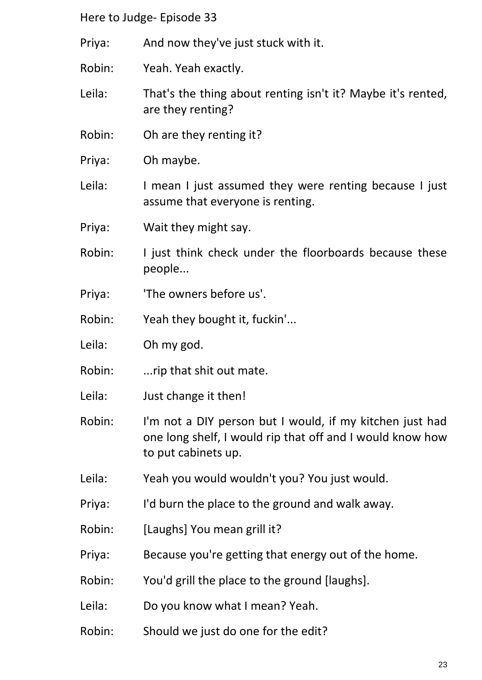Priya: And now they've just stuck with it.

Robin: Yeah. Yeah exactly.

Leila: That's the thing about renting isn't it? Maybe it's rented, are they renting?

- Robin: Oh are they renting it?
- Priya: Oh maybe.

Leila: I mean I just assumed they were renting because I just assume that everyone is renting.

- Priya: Wait they might say.
- Robin: I just think check under the floorboards because these people...
- Priya: 'The owners before us'.
- Robin: Yeah they bought it, fuckin'...
- Leila: Oh my god.
- Robin: ....rip that shit out mate.
- Leila: Just change it then!
- Robin: I'm not a DIY person but I would, if my kitchen just had one long shelf, I would rip that off and I would know how to put cabinets up.
- Leila: Yeah you would wouldn't you? You just would.
- Priya: I'd burn the place to the ground and walk away.
- Robin: [Laughs] You mean grill it?
- Priya: Because you're getting that energy out of the home.
- Robin: You'd grill the place to the ground [laughs].
- Leila: Do you know what I mean? Yeah.
- Robin: Should we just do one for the edit?